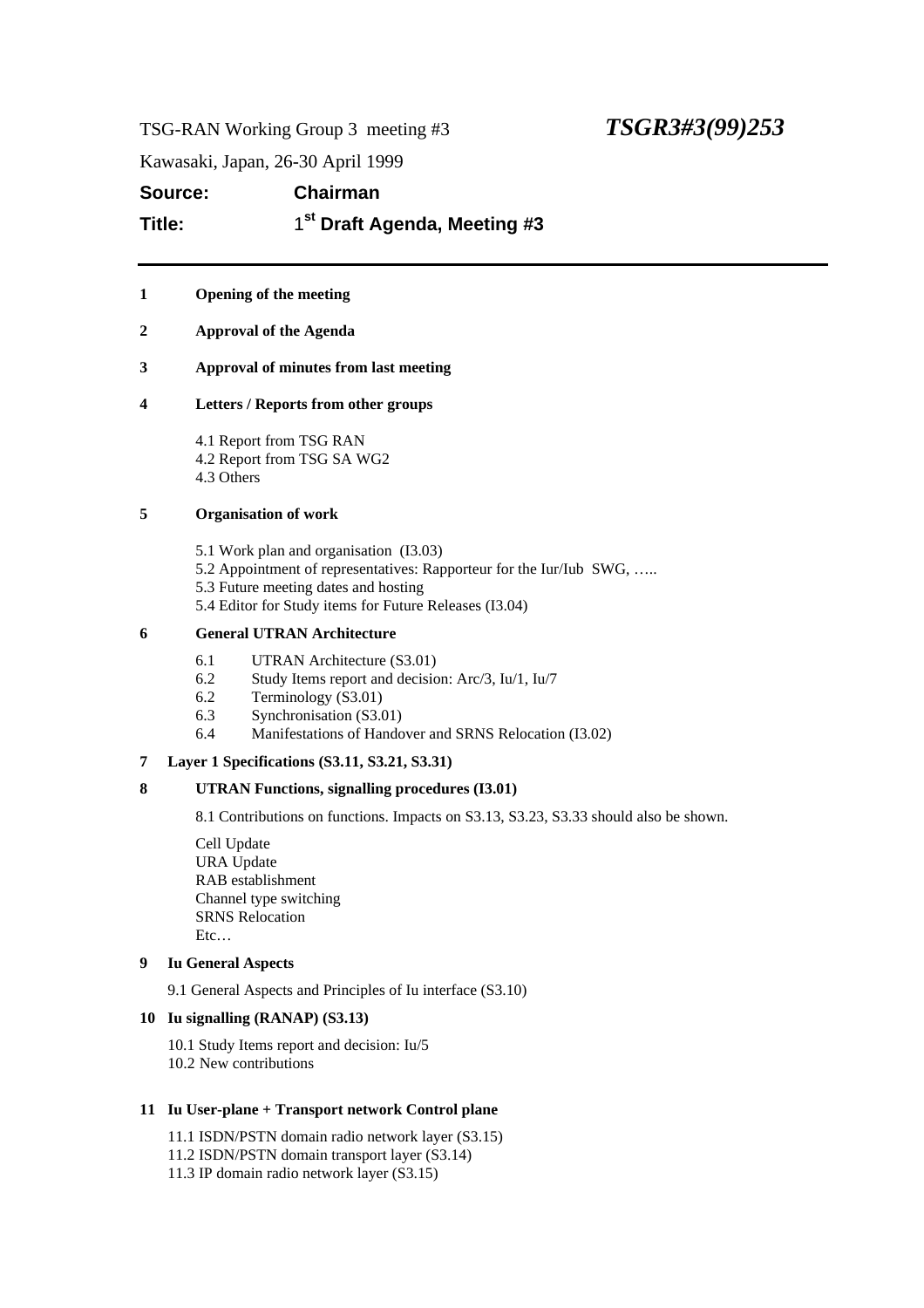TSG-RAN Working Group 3 meeting #3 *TSGR3#3(99)253*

Kawasaki, Japan, 26-30 April 1999

**Source: Chairman Title:** 1 **st Draft Agenda, Meeting #3**

# **1 Opening of the meeting**

**2 Approval of the Agenda**

# **3 Approval of minutes from last meeting**

# **4 Letters / Reports from other groups**

4.1 Report from TSG RAN 4.2 Report from TSG SA WG2 4.3 Others

# **5 Organisation of work**

- 5.1 Work plan and organisation (I3.03)
- 5.2 Appointment of representatives: Rapporteur for the Iur/Iub SWG, …..
- 5.3 Future meeting dates and hosting
- 5.4 Editor for Study items for Future Releases (I3.04)

# **6 General UTRAN Architecture**

- 6.1 UTRAN Architecture (S3.01)
- 6.2 Study Items report and decision: Arc/3, Iu/1, Iu/7
- 6.2 Terminology (S3.01)
- 6.3 Synchronisation (S3.01)
- 6.4 Manifestations of Handover and SRNS Relocation (I3.02)

# **7 Layer 1 Specifications (S3.11, S3.21, S3.31)**

# **8 UTRAN Functions, signalling procedures (I3.01)**

8.1 Contributions on functions. Impacts on S3.13, S3.23, S3.33 should also be shown.

Cell Update URA Update RAB establishment Channel type switching SRNS Relocation Etc…

# **9 Iu General Aspects**

9.1 General Aspects and Principles of Iu interface (S3.10)

# **10 Iu signalling (RANAP) (S3.13)**

10.1 Study Items report and decision: Iu/5 10.2 New contributions

# **11 Iu User-plane + Transport network Control plane**

- 11.1 ISDN/PSTN domain radio network layer (S3.15)
- 11.2 ISDN/PSTN domain transport layer (S3.14)
- 11.3 IP domain radio network layer (S3.15)